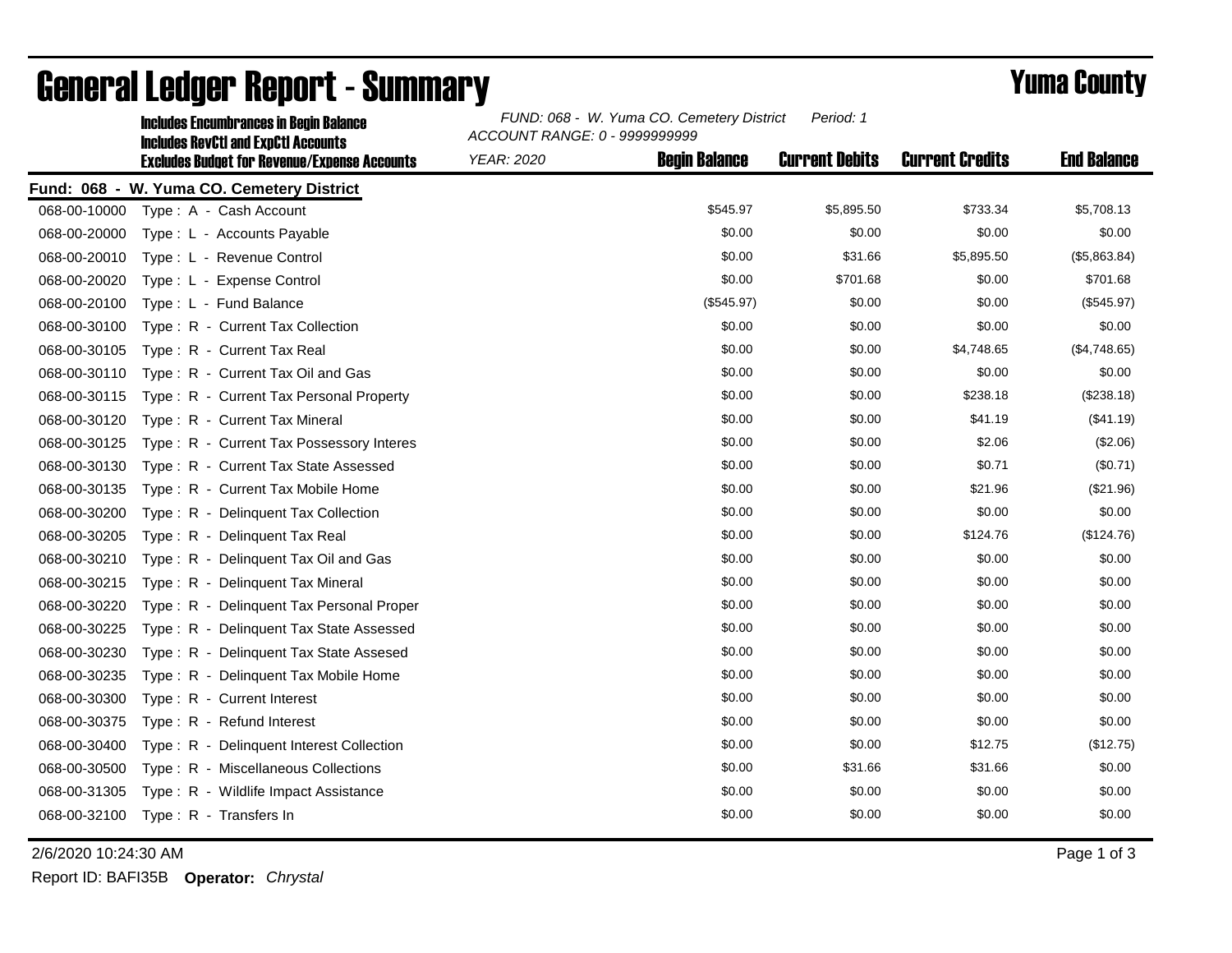|              | <b>Includes Encumbrances in Begin Balance</b><br><b>Includes RevCtI and ExpCtI Accounts</b> | Period: 1<br>FUND: 068 - W. Yuma CO. Cemetery District<br>ACCOUNT RANGE: 0 - 9999999999 |                      |                       |                        |                    |
|--------------|---------------------------------------------------------------------------------------------|-----------------------------------------------------------------------------------------|----------------------|-----------------------|------------------------|--------------------|
|              | <b>Excludes Budget for Revenue/Expense Accounts</b>                                         | <b>YEAR: 2020</b>                                                                       | <b>Begin Balance</b> | <b>Current Debits</b> | <b>Current Credits</b> | <b>End Balance</b> |
|              | Fund: 068 - W. Yuma CO. Cemetery District                                                   |                                                                                         |                      |                       |                        |                    |
| 068-00-10000 | Type: A - Cash Account                                                                      |                                                                                         | \$545.97             | \$5,895.50            | \$733.34               | \$5,708.13         |
| 068-00-20000 | Type: L - Accounts Payable                                                                  |                                                                                         | \$0.00               | \$0.00                | \$0.00                 | \$0.00             |
| 068-00-20010 | Type: L - Revenue Control                                                                   |                                                                                         | \$0.00               | \$31.66               | \$5,895.50             | (\$5,863.84)       |
| 068-00-20020 | Type: L - Expense Control                                                                   |                                                                                         | \$0.00               | \$701.68              | \$0.00                 | \$701.68           |
| 068-00-20100 | Type: L - Fund Balance                                                                      |                                                                                         | (\$545.97)           | \$0.00                | \$0.00                 | (\$545.97)         |
| 068-00-30100 | Type: R - Current Tax Collection                                                            |                                                                                         | \$0.00               | \$0.00                | \$0.00                 | \$0.00             |
| 068-00-30105 | Type: R - Current Tax Real                                                                  |                                                                                         | \$0.00               | \$0.00                | \$4,748.65             | (\$4,748.65)       |
| 068-00-30110 | Type: R - Current Tax Oil and Gas                                                           |                                                                                         | \$0.00               | \$0.00                | \$0.00                 | \$0.00             |
| 068-00-30115 | Type: R - Current Tax Personal Property                                                     |                                                                                         | \$0.00               | \$0.00                | \$238.18               | (\$238.18)         |
| 068-00-30120 | Type: R - Current Tax Mineral                                                               |                                                                                         | \$0.00               | \$0.00                | \$41.19                | (\$41.19)          |
| 068-00-30125 | Type: R - Current Tax Possessory Interes                                                    |                                                                                         | \$0.00               | \$0.00                | \$2.06                 | (\$2.06)           |
| 068-00-30130 | Type: R - Current Tax State Assessed                                                        |                                                                                         | \$0.00               | \$0.00                | \$0.71                 | (\$0.71)           |
| 068-00-30135 | Type: R - Current Tax Mobile Home                                                           |                                                                                         | \$0.00               | \$0.00                | \$21.96                | (\$21.96)          |
| 068-00-30200 | Type: R - Delinquent Tax Collection                                                         |                                                                                         | \$0.00               | \$0.00                | \$0.00                 | \$0.00             |
| 068-00-30205 | Type: R - Delinquent Tax Real                                                               |                                                                                         | \$0.00               | \$0.00                | \$124.76               | (\$124.76)         |
| 068-00-30210 | Type: R - Delinquent Tax Oil and Gas                                                        |                                                                                         | \$0.00               | \$0.00                | \$0.00                 | \$0.00             |
| 068-00-30215 | Type: R - Delinquent Tax Mineral                                                            |                                                                                         | \$0.00               | \$0.00                | \$0.00                 | \$0.00             |
| 068-00-30220 | Type: R - Delinquent Tax Personal Proper                                                    |                                                                                         | \$0.00               | \$0.00                | \$0.00                 | \$0.00             |
| 068-00-30225 | Type: R - Delinquent Tax State Assessed                                                     |                                                                                         | \$0.00               | \$0.00                | \$0.00                 | \$0.00             |
| 068-00-30230 | Type: R - Delinquent Tax State Assesed                                                      |                                                                                         | \$0.00               | \$0.00                | \$0.00                 | \$0.00             |
| 068-00-30235 | Type: R - Delinquent Tax Mobile Home                                                        |                                                                                         | \$0.00               | \$0.00                | \$0.00                 | \$0.00             |
| 068-00-30300 | Type: R - Current Interest                                                                  |                                                                                         | \$0.00               | \$0.00                | \$0.00                 | \$0.00             |
| 068-00-30375 | Type: R - Refund Interest                                                                   |                                                                                         | \$0.00               | \$0.00                | \$0.00                 | \$0.00             |
| 068-00-30400 | Type: R - Delinquent Interest Collection                                                    |                                                                                         | \$0.00               | \$0.00                | \$12.75                | (\$12.75)          |
| 068-00-30500 | Type: R - Miscellaneous Collections                                                         |                                                                                         | \$0.00               | \$31.66               | \$31.66                | \$0.00             |
| 068-00-31305 | Type: R - Wildlife Impact Assistance                                                        |                                                                                         | \$0.00               | \$0.00                | \$0.00                 | \$0.00             |
| 068-00-32100 | Type: R - Transfers In                                                                      |                                                                                         | \$0.00               | \$0.00                | \$0.00                 | \$0.00             |

## General Ledger Report - Summary **Example 2018** Yuma County

2/6/2020 10:24:30 AM Page 1 of 3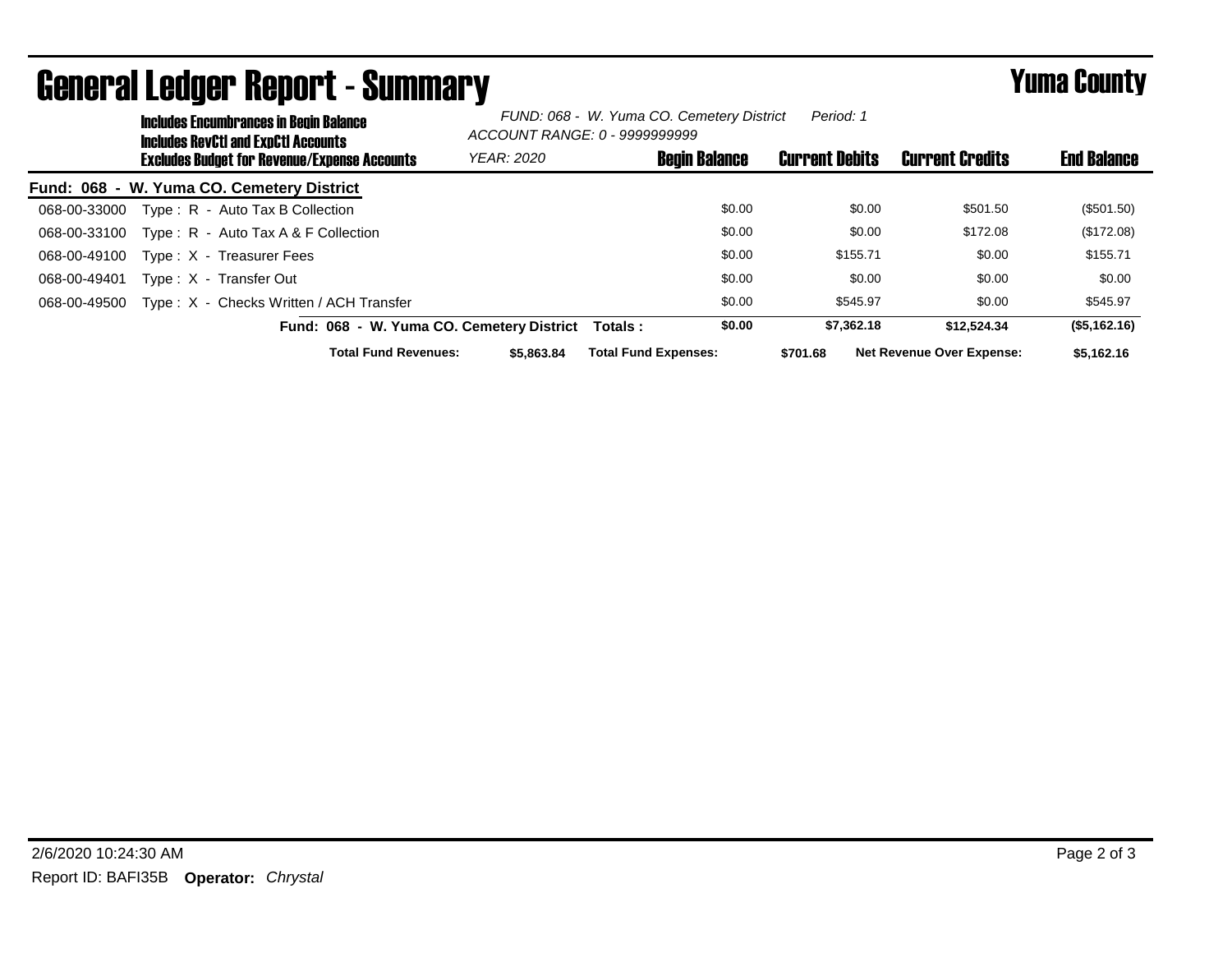| <b>Includes Encumbrances in Begin Balance</b><br><b>Includes RevCtI and ExpCtI Accounts</b><br><b>Excludes Budget for Revenue/Expense Accounts</b> |  | FUND: 068 - W. Yuma CO. Cemetery District<br>Period: 1<br>ACCOUNT RANGE: 0 - 9999999999 |                      |                             |                       |                        |                                  |              |
|----------------------------------------------------------------------------------------------------------------------------------------------------|--|-----------------------------------------------------------------------------------------|----------------------|-----------------------------|-----------------------|------------------------|----------------------------------|--------------|
|                                                                                                                                                    |  | <b>YEAR: 2020</b>                                                                       | <b>Begin Balance</b> |                             | <b>Current Debits</b> | <b>Current Credits</b> | <b>End Balance</b>               |              |
|                                                                                                                                                    |  | Fund: 068 - W. Yuma CO. Cemetery District                                               |                      |                             |                       |                        |                                  |              |
| 068-00-33000                                                                                                                                       |  | Type: R - Auto Tax B Collection                                                         |                      |                             | \$0.00                | \$0.00                 | \$501.50                         | (\$501.50)   |
| 068-00-33100                                                                                                                                       |  | Type: $R -$ Auto Tax A & F Collection                                                   |                      |                             | \$0.00                | \$0.00                 | \$172.08                         | (\$172.08)   |
| 068-00-49100                                                                                                                                       |  | Type: X - Treasurer Fees                                                                |                      |                             | \$0.00                | \$155.71               | \$0.00                           | \$155.71     |
| 068-00-49401                                                                                                                                       |  | Type: X - Transfer Out                                                                  |                      |                             | \$0.00                | \$0.00                 | \$0.00                           | \$0.00       |
| 068-00-49500                                                                                                                                       |  | Type: X - Checks Written / ACH Transfer                                                 |                      |                             | \$0.00                | \$545.97               | \$0.00                           | \$545.97     |
|                                                                                                                                                    |  | Fund: 068 - W. Yuma CO. Cemetery District                                               |                      | Totals :                    | \$0.00                | \$7,362.18             | \$12.524.34                      | (\$5,162.16) |
|                                                                                                                                                    |  | <b>Total Fund Revenues:</b>                                                             | \$5,863,84           | <b>Total Fund Expenses:</b> |                       | \$701.68               | <b>Net Revenue Over Expense:</b> | \$5,162.16   |

## General Ledger Report - Summary **Example 2018** Yuma County